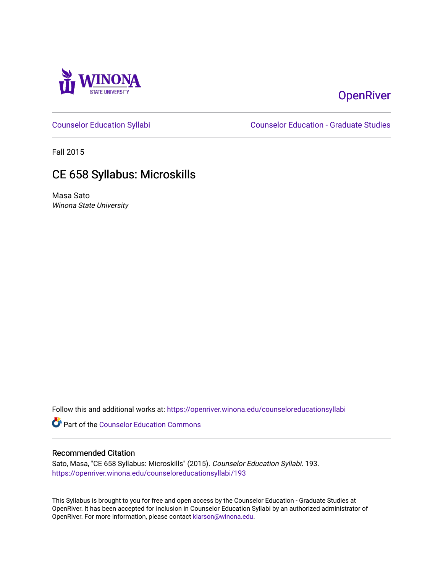

# **OpenRiver**

[Counselor Education Syllabi](https://openriver.winona.edu/counseloreducationsyllabi) [Counselor Education - Graduate Studies](https://openriver.winona.edu/counseloreducation) 

Fall 2015

# CE 658 Syllabus: Microskills

Masa Sato Winona State University

Follow this and additional works at: [https://openriver.winona.edu/counseloreducationsyllabi](https://openriver.winona.edu/counseloreducationsyllabi?utm_source=openriver.winona.edu%2Fcounseloreducationsyllabi%2F193&utm_medium=PDF&utm_campaign=PDFCoverPages)

Part of the [Counselor Education Commons](http://network.bepress.com/hgg/discipline/1278?utm_source=openriver.winona.edu%2Fcounseloreducationsyllabi%2F193&utm_medium=PDF&utm_campaign=PDFCoverPages) 

## Recommended Citation

Sato, Masa, "CE 658 Syllabus: Microskills" (2015). Counselor Education Syllabi. 193. [https://openriver.winona.edu/counseloreducationsyllabi/193](https://openriver.winona.edu/counseloreducationsyllabi/193?utm_source=openriver.winona.edu%2Fcounseloreducationsyllabi%2F193&utm_medium=PDF&utm_campaign=PDFCoverPages)

This Syllabus is brought to you for free and open access by the Counselor Education - Graduate Studies at OpenRiver. It has been accepted for inclusion in Counselor Education Syllabi by an authorized administrator of OpenRiver. For more information, please contact [klarson@winona.edu](mailto:klarson@winona.edu).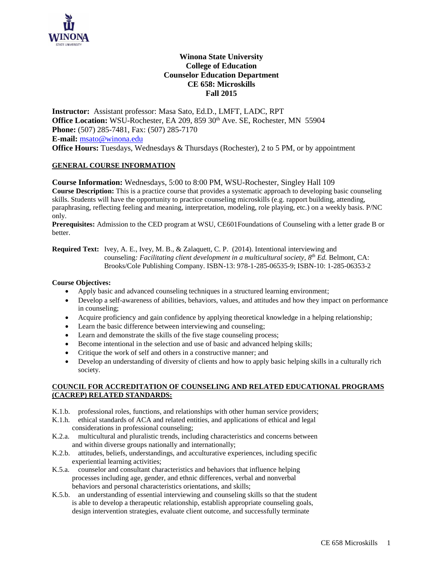

# **Winona State University College of Education Counselor Education Department CE 658: Microskills Fall 2015**

**Instructor:** Assistant professor: Masa Sato, Ed.D., LMFT, LADC, RPT Office Location: WSU-Rochester, EA 209, 859 30<sup>th</sup> Ave. SE, Rochester, MN 55904 **Phone:** (507) 285-7481, Fax: (507) 285-7170 **E-mail:** [msato@winona.edu](mailto:msato@winona.edu) **Office Hours:** Tuesdays, Wednesdays & Thursdays (Rochester), 2 to 5 PM, or by appointment

## **GENERAL COURSE INFORMATION**

**Course Information:** Wednesdays, 5:00 to 8:00 PM, WSU-Rochester, Singley Hall 109 **Course Description:** This is a practice course that provides a systematic approach to developing basic counseling skills. Students will have the opportunity to practice counseling microskills (e.g. rapport building, attending, paraphrasing, reflecting feeling and meaning, interpretation, modeling, role playing, etc.) on a weekly basis. P/NC only.

**Prerequisites:** Admission to the CED program at WSU, CE601Foundations of Counseling with a letter grade B or better.

**Required Text:** Ivey, A. E., Ivey, M. B., & Zalaquett, C. P. (2014). Intentional interviewing and counseling*: Facilitating client development in a multicultural society, 8 th Ed.* Belmont, CA: Brooks/Cole Publishing Company. ISBN-13: 978-1-285-06535-9; ISBN-10: 1-285-06353-2

## **Course Objectives:**

- Apply basic and advanced counseling techniques in a structured learning environment;
- Develop a self-awareness of abilities, behaviors, values, and attitudes and how they impact on performance in counseling;
- Acquire proficiency and gain confidence by applying theoretical knowledge in a helping relationship;
- Learn the basic difference between interviewing and counseling;
- Learn and demonstrate the skills of the five stage counseling process;
- Become intentional in the selection and use of basic and advanced helping skills;
- Critique the work of self and others in a constructive manner; and
- Develop an understanding of diversity of clients and how to apply basic helping skills in a culturally rich society.

#### **COUNCIL FOR ACCREDITATION OF COUNSELING AND RELATED EDUCATIONAL PROGRAMS (CACREP) RELATED STANDARDS:**

- K.1.b. professional roles, functions, and relationships with other human service providers;
- K.1.h. ethical standards of ACA and related entities, and applications of ethical and legal considerations in professional counseling;
- K.2.a. multicultural and pluralistic trends, including characteristics and concerns between and within diverse groups nationally and internationally;
- K.2.b. attitudes, beliefs, understandings, and acculturative experiences, including specific experiential learning activities;
- K.5.a. counselor and consultant characteristics and behaviors that influence helping processes including age, gender, and ethnic differences, verbal and nonverbal behaviors and personal characteristics orientations, and skills;
- K.5.b. an understanding of essential interviewing and counseling skills so that the student is able to develop a therapeutic relationship, establish appropriate counseling goals, design intervention strategies, evaluate client outcome, and successfully terminate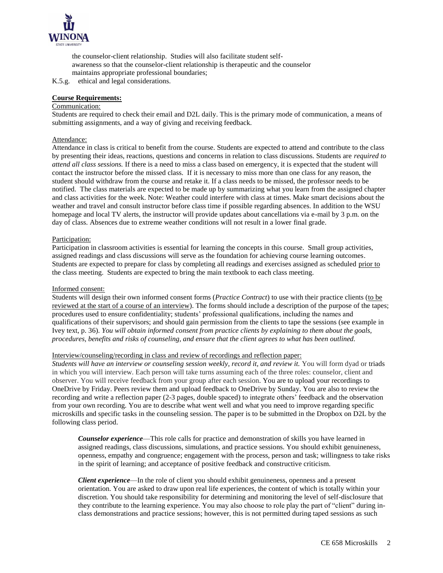

 the counselor-client relationship. Studies will also facilitate student self awareness so that the counselor-client relationship is therapeutic and the counselor maintains appropriate professional boundaries;

K.5.g. ethical and legal considerations.

## **Course Requirements:**

#### Communication:

Students are required to check their email and D2L daily. This is the primary mode of communication, a means of submitting assignments, and a way of giving and receiving feedback.

#### Attendance:

Attendance in class is critical to benefit from the course. Students are expected to attend and contribute to the class by presenting their ideas, reactions, questions and concerns in relation to class discussions. Students are *required to attend all class sessions.* If there is a need to miss a class based on emergency, it is expected that the student will contact the instructor before the missed class. If it is necessary to miss more than one class for any reason, the student should withdraw from the course and retake it. If a class needs to be missed, the professor needs to be notified. The class materials are expected to be made up by summarizing what you learn from the assigned chapter and class activities for the week. Note: Weather could interfere with class at times. Make smart decisions about the weather and travel and consult instructor before class time if possible regarding absences. In addition to the WSU homepage and local TV alerts, the instructor will provide updates about cancellations via e-mail by 3 p.m. on the day of class. Absences due to extreme weather conditions will not result in a lower final grade.

#### Participation:

Participation in classroom activities is essential for learning the concepts in this course. Small group activities, assigned readings and class discussions will serve as the foundation for achieving course learning outcomes. Students are expected to prepare for class by completing all readings and exercises assigned as scheduled prior to the class meeting. Students are expected to bring the main textbook to each class meeting.

#### Informed consent:

Students will design their own informed consent forms (*Practice Contract*) to use with their practice clients (to be reviewed at the start of a course of an interview). The forms should include a description of the purpose of the tapes; procedures used to ensure confidentiality; students' professional qualifications, including the names and qualifications of their supervisors; and should gain permission from the clients to tape the sessions (see example in Ivey text, p. 36). *You will obtain informed consent from practice clients by explaining to them about the goals, procedures, benefits and risks of counseling, and ensure that the client agrees to what has been outlined.*

## Interview/counseling/recording in class and review of recordings and reflection paper:

*Students will have an interview or counseling session weekly, record it, and review it.* You will form dyad or triads in which you will interview. Each person will take turns assuming each of the three roles: counselor, client and observer. You will receive feedback from your group after each session. You are to upload your recordings to OneDrive by Friday. Peers review them and upload feedback to OneDrive by Sunday. You are also to review the recording and write a reflection paper (2-3 pages, double spaced) to integrate others' feedback and the observation from your own recording. You are to describe what went well and what you need to improve regarding specific microskills and specific tasks in the counseling session. The paper is to be submitted in the Dropbox on D2L by the following class period.

*Counselor experience*—This role calls for practice and demonstration of skills you have learned in assigned readings, class discussions, simulations, and practice sessions. You should exhibit genuineness, openness, empathy and congruence; engagement with the process, person and task; willingness to take risks in the spirit of learning; and acceptance of positive feedback and constructive criticism.

*Client experience*—In the role of client you should exhibit genuineness, openness and a present orientation. You are asked to draw upon real life experiences, the content of which is totally within your discretion. You should take responsibility for determining and monitoring the level of self-disclosure that they contribute to the learning experience. You may also choose to role play the part of "client" during inclass demonstrations and practice sessions; however, this is not permitted during taped sessions as such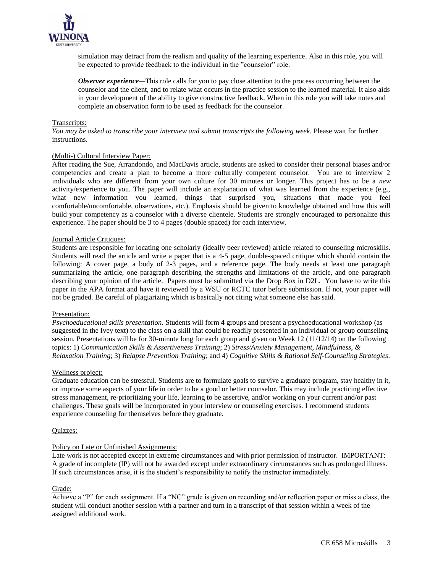

simulation may detract from the realism and quality of the learning experience. Also in this role, you will be expected to provide feedback to the individual in the "counselor" role.

*Observer experience—This role calls for you to pay close attention to the process occurring between the* counselor and the client, and to relate what occurs in the practice session to the learned material. It also aids in your development of the ability to give constructive feedback. When in this role you will take notes and complete an observation form to be used as feedback for the counselor.

#### Transcripts:

*You may be asked to transcribe your interview and submit transcripts the following week.* Please wait for further instructions.

#### (Multi-) Cultural Interview Paper:

After reading the Sue, Arrandondo, and MacDavis article, students are asked to consider their personal biases and/or competencies and create a plan to become a more culturally competent counselor. You are to interview 2 individuals who are different from your own culture for 30 minutes or longer. This project has to be a *new* activity/experience to you. The paper will include an explanation of what was learned from the experience (e.g., what new information you learned, things that surprised you, situations that made you feel comfortable/uncomfortable, observations, etc.). Emphasis should be given to knowledge obtained and how this will build your competency as a counselor with a diverse clientele. Students are strongly encouraged to personalize this experience. The paper should be 3 to 4 pages (double spaced) for each interview.

#### Journal Article Critiques:

Students are responsible for locating one scholarly (ideally peer reviewed) article related to counseling microskills. Students will read the article and write a paper that is a 4-5 page, double-spaced critique which should contain the following: A cover page, a body of 2-3 pages, and a reference page. The body needs at least one paragraph summarizing the article, one paragraph describing the strengths and limitations of the article, and one paragraph describing your opinion of the article. Papers must be submitted via the Drop Box in D2L. You have to write this paper in the APA format and have it reviewed by a WSU or RCTC tutor before submission. If not, your paper will not be graded. Be careful of plagiarizing which is basically not citing what someone else has said.

#### Presentation:

*Psychoeducational skills presentation.* Students will form 4 groups and present a psychoeducational workshop (as suggested in the Ivey text) to the class on a skill that could be readily presented in an individual or group counseling session. Presentations will be for 30-minute long for each group and given on Week 12 (11/12/14) on the following topics: 1) *Communication Skills & Assertiveness Training*; 2) *Stress/Anxiety Management, Mindfulness, & Relaxation Training*; 3) *Relapse Prevention Training*; and 4) *Cognitive Skills & Rational Self-Counseling Strategies*.

#### Wellness project:

Graduate education can be stressful. Students are to formulate goals to survive a graduate program, stay healthy in it, or improve some aspects of your life in order to be a good or better counselor. This may include practicing effective stress management, re-prioritizing your life, learning to be assertive, and/or working on your current and/or past challenges. These goals will be incorporated in your interview or counseling exercises. I recommend students experience counseling for themselves before they graduate.

#### Quizzes:

## Policy on Late or Unfinished Assignments:

Late work is not accepted except in extreme circumstances and with prior permission of instructor. IMPORTANT: A grade of incomplete (IP) will not be awarded except under extraordinary circumstances such as prolonged illness. If such circumstances arise, it is the student's responsibility to notify the instructor immediately.

#### Grade:

Achieve a "P" for each assignment. If a "NC" grade is given on recording and/or reflection paper or miss a class, the student will conduct another session with a partner and turn in a transcript of that session within a week of the assigned additional work.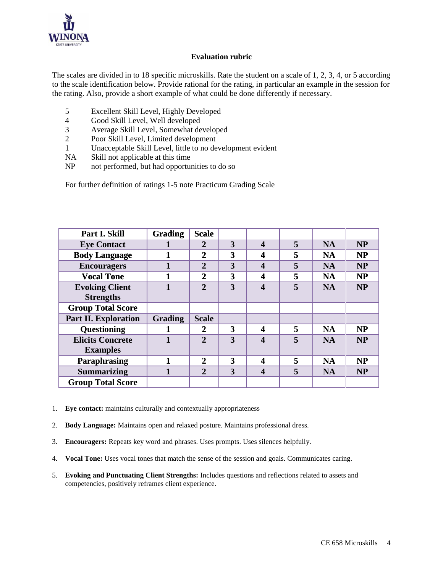

# **Evaluation rubric**

The scales are divided in to 18 specific microskills. Rate the student on a scale of 1, 2, 3, 4, or 5 according to the scale identification below. Provide rational for the rating, in particular an example in the session for the rating. Also, provide a short example of what could be done differently if necessary.

- 5 Excellent Skill Level, Highly Developed
- 4 Good Skill Level, Well developed
- 3 Average Skill Level, Somewhat developed
- 2 Poor Skill Level, Limited development
- 1 Unacceptable Skill Level, little to no development evident
- NA Skill not applicable at this time
- NP not performed, but had opportunities to do so

For further definition of ratings 1-5 note Practicum Grading Scale

| Part I. Skill               | <b>Grading</b> | <b>Scale</b>   |   |                         |   |           |           |
|-----------------------------|----------------|----------------|---|-------------------------|---|-----------|-----------|
| <b>Eye Contact</b>          |                | 2              | 3 | $\boldsymbol{4}$        | 5 | <b>NA</b> | <b>NP</b> |
| <b>Body Language</b>        |                | $\mathbf{2}$   | 3 | 4                       | 5 | <b>NA</b> | <b>NP</b> |
| <b>Encouragers</b>          |                | $\overline{2}$ | 3 | 4                       | 5 | <b>NA</b> | <b>NP</b> |
| <b>Vocal Tone</b>           |                | $\overline{2}$ | 3 | 4                       | 5 | <b>NA</b> | <b>NP</b> |
| <b>Evoking Client</b>       |                | $\overline{2}$ | 3 | $\overline{\mathbf{4}}$ | 5 | <b>NA</b> | <b>NP</b> |
| <b>Strengths</b>            |                |                |   |                         |   |           |           |
| <b>Group Total Score</b>    |                |                |   |                         |   |           |           |
| <b>Part II. Exploration</b> | <b>Grading</b> | <b>Scale</b>   |   |                         |   |           |           |
| Questioning                 |                | 2              | 3 | 4                       | 5 | <b>NA</b> | <b>NP</b> |
| <b>Elicits Concrete</b>     |                | $\mathbf{2}$   | 3 | $\overline{\mathbf{4}}$ | 5 | <b>NA</b> | <b>NP</b> |
| <b>Examples</b>             |                |                |   |                         |   |           |           |
| Paraphrasing                |                | $\mathbf{2}$   | 3 | 4                       | 5 | <b>NA</b> | NP        |
| <b>Summarizing</b>          |                | $\overline{2}$ | 3 | 4                       | 5 | <b>NA</b> | <b>NP</b> |
| <b>Group Total Score</b>    |                |                |   |                         |   |           |           |

- 1. **Eye contact:** maintains culturally and contextually appropriateness
- 2. **Body Language:** Maintains open and relaxed posture. Maintains professional dress.
- 3. **Encouragers:** Repeats key word and phrases. Uses prompts. Uses silences helpfully.
- 4. **Vocal Tone:** Uses vocal tones that match the sense of the session and goals. Communicates caring.
- 5. **Evoking and Punctuating Client Strengths:** Includes questions and reflections related to assets and competencies, positively reframes client experience.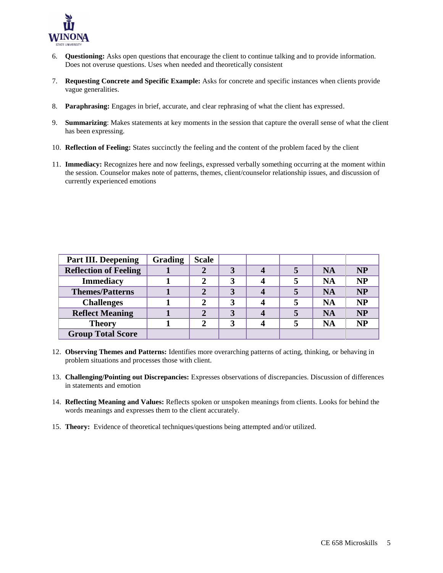

- 6. **Questioning:** Asks open questions that encourage the client to continue talking and to provide information. Does not overuse questions. Uses when needed and theoretically consistent
- 7. **Requesting Concrete and Specific Example:** Asks for concrete and specific instances when clients provide vague generalities.
- 8. **Paraphrasing:** Engages in brief, accurate, and clear rephrasing of what the client has expressed.
- 9. **Summarizing**: Makes statements at key moments in the session that capture the overall sense of what the client has been expressing.
- 10. **Reflection of Feeling:** States succinctly the feeling and the content of the problem faced by the client
- 11. **Immediacy:** Recognizes here and now feelings, expressed verbally something occurring at the moment within the session. Counselor makes note of patterns, themes, client/counselor relationship issues, and discussion of currently experienced emotions

| <b>Part III. Deepening</b>   | <b>Grading</b> | <b>Scale</b> |   |  |           |           |
|------------------------------|----------------|--------------|---|--|-----------|-----------|
| <b>Reflection of Feeling</b> |                |              |   |  | <b>NA</b> | <b>NP</b> |
| <b>Immediacy</b>             |                |              | 3 |  | <b>NA</b> | <b>NP</b> |
| <b>Themes/Patterns</b>       |                | $\mathbf{2}$ | 3 |  | <b>NA</b> | <b>NP</b> |
| <b>Challenges</b>            |                | 2            | 3 |  | <b>NA</b> | <b>NP</b> |
| <b>Reflect Meaning</b>       |                | 2            | 3 |  | <b>NA</b> | <b>NP</b> |
| <b>Theory</b>                |                | 2            | 3 |  | <b>NA</b> | <b>NP</b> |
| <b>Group Total Score</b>     |                |              |   |  |           |           |

- 12. **Observing Themes and Patterns:** Identifies more overarching patterns of acting, thinking, or behaving in problem situations and processes those with client.
- 13. **Challenging/Pointing out Discrepancies:** Expresses observations of discrepancies. Discussion of differences in statements and emotion
- 14. **Reflecting Meaning and Values:** Reflects spoken or unspoken meanings from clients. Looks for behind the words meanings and expresses them to the client accurately.
- 15. **Theory:** Evidence of theoretical techniques/questions being attempted and/or utilized.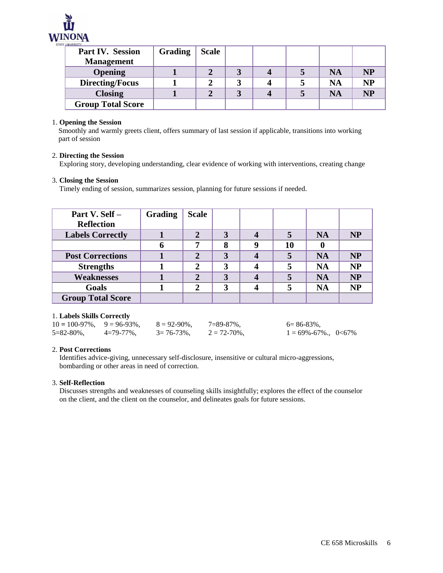

| <b>Part IV. Session</b>  | Grading | <b>Scale</b> |  |           |           |
|--------------------------|---------|--------------|--|-----------|-----------|
| <b>Management</b>        |         |              |  |           |           |
| <b>Opening</b>           |         |              |  | <b>NA</b> | <b>NP</b> |
| <b>Directing/Focus</b>   |         |              |  | <b>NA</b> | <b>NP</b> |
| <b>Closing</b>           |         |              |  | <b>NA</b> | <b>NP</b> |
| <b>Group Total Score</b> |         |              |  |           |           |

### 1. **Opening the Session**

Smoothly and warmly greets client, offers summary of last session if applicable, transitions into working part of session

#### 2. **Directing the Session**

Exploring story, developing understanding, clear evidence of working with interventions, creating change

#### 3. **Closing the Session**

Timely ending of session, summarizes session, planning for future sessions if needed.

| Part V. Self -           | <b>Grading</b> | <b>Scale</b> |   |   |    |           |           |
|--------------------------|----------------|--------------|---|---|----|-----------|-----------|
| <b>Reflection</b>        |                |              |   |   |    |           |           |
| <b>Labels Correctly</b>  |                |              | 3 |   |    | <b>NA</b> | <b>NP</b> |
|                          |                | 7            | 8 | q | 10 |           |           |
| <b>Post Corrections</b>  |                | 2            | 3 |   |    | <b>NA</b> | <b>NP</b> |
| <b>Strengths</b>         |                | 2            | 3 |   |    | <b>NA</b> | <b>NP</b> |
| <b>Weaknesses</b>        |                | $\mathbf{2}$ | 3 |   |    | <b>NA</b> | <b>NP</b> |
| Goals                    |                | 2            | 3 |   |    | <b>NA</b> | <b>NP</b> |
| <b>Group Total Score</b> |                |              |   |   |    |           |           |

## 1. **Labels Skills Correctly**

| $10 = 100 - 97\%$ , $9 = 96 - 93\%$ , |               | $8 = 92 - 90\%$ . | $7 = 89 - 87\%$ | $6 = 86 - 83\%$ .          |  |
|---------------------------------------|---------------|-------------------|-----------------|----------------------------|--|
| $5 = 82 - 80\%$                       | $4=79-77\%$ . | $3 = 76 - 73\%$ . | $2 = 72 - 70\%$ | $1 = 69\% - 67\%$ ., 0<67% |  |

#### 2. **Post Corrections**

 Identifies advice-giving, unnecessary self-disclosure, insensitive or cultural micro-aggressions, bombarding or other areas in need of correction.

## 3. **Self-Reflection**

Discusses strengths and weaknesses of counseling skills insightfully; explores the effect of the counselor on the client, and the client on the counselor, and delineates goals for future sessions.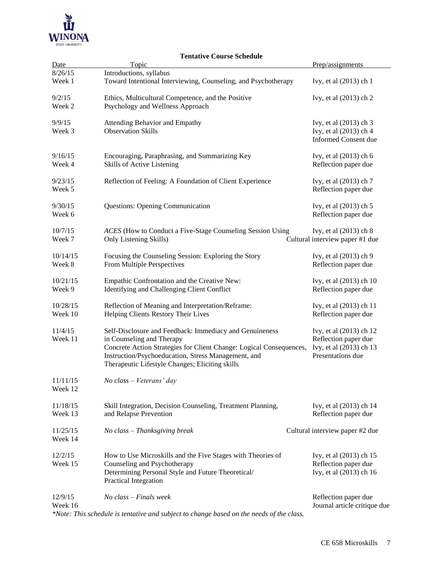

# **Tentative Course Schedule**

| Date               | Topic                                                                                                  | Prep/assignments                                     |
|--------------------|--------------------------------------------------------------------------------------------------------|------------------------------------------------------|
| 8/26/15            | Introductions, syllabus                                                                                |                                                      |
| Week 1             | Toward Intentional Interviewing, Counseling, and Psychotherapy                                         | Ivy, et al (2013) ch 1                               |
| 9/2/15             | Ethics, Multicultural Competence, and the Positive                                                     | Ivy, et al (2013) ch 2                               |
| Week 2             | Psychology and Wellness Approach                                                                       |                                                      |
| 9/9/15             | Attending Behavior and Empathy                                                                         | Ivy, et al (2013) ch 3                               |
| Week 3             | <b>Observation Skills</b>                                                                              | Ivy, et al (2013) ch 4                               |
|                    |                                                                                                        | <b>Informed Consent due</b>                          |
| 9/16/15            | Encouraging, Paraphrasing, and Summarizing Key                                                         | Ivy, et al (2013) ch 6                               |
| Week 4             | Skills of Active Listening                                                                             | Reflection paper due                                 |
| 9/23/15            | Reflection of Feeling: A Foundation of Client Experience                                               | Ivy, et al (2013) ch 7                               |
| Week 5             |                                                                                                        | Reflection paper due                                 |
| 9/30/15            | <b>Questions: Opening Communication</b>                                                                | Ivy, et al (2013) ch 5                               |
| Week 6             |                                                                                                        | Reflection paper due                                 |
| 10/7/15            | ACES (How to Conduct a Five-Stage Counseling Session Using                                             | Ivy, et al (2013) ch 8                               |
| Week 7             | Only Listening Skills)                                                                                 | Cultural interview paper #1 due                      |
| 10/14/15           | Focusing the Counseling Session: Exploring the Story                                                   | Ivy, et al (2013) ch 9                               |
| Week 8             | From Multiple Perspectives                                                                             | Reflection paper due                                 |
| 10/21/15           | Empathic Confrontation and the Creative New:                                                           | Ivy, et al (2013) ch 10                              |
| Week 9             | Identifying and Challenging Client Conflict                                                            | Reflection paper due                                 |
| 10/28/15           | Reflection of Meaning and Interpretation/Reframe:                                                      | Ivy, et al (2013) ch 11                              |
| Week 10            | Helping Clients Restory Their Lives                                                                    | Reflection paper due                                 |
| 11/4/15            | Self-Disclosure and Feedback: Immediacy and Genuineness                                                | Ivy, et al (2013) ch 12                              |
| Week 11            | in Counseling and Therapy                                                                              | Reflection paper due                                 |
|                    | Concrete Action Strategies for Client Change: Logical Consequences,                                    | Ivy, et al (2013) ch 13                              |
|                    | Instruction/Psychoeducation, Stress Management, and<br>Therapeutic Lifestyle Changes; Eliciting skills | Presentations due                                    |
| 11/11/15           | No class - Veterans' day                                                                               |                                                      |
| Week 12            |                                                                                                        |                                                      |
| 11/18/15           | Skill Integration, Decision Counseling, Treatment Planning,                                            | Ivy, et al (2013) ch 14                              |
| Week 13            | and Relapse Prevention                                                                                 | Reflection paper due                                 |
| 11/25/15           | No class - Thanksgiving break                                                                          | Cultural interview paper #2 due                      |
| Week 14            |                                                                                                        |                                                      |
| 12/2/15            | How to Use Microskills and the Five Stages with Theories of                                            | Ivy, et al (2013) ch 15                              |
| Week 15            | Counseling and Psychotherapy                                                                           | Reflection paper due                                 |
|                    | Determining Personal Style and Future Theoretical/<br>Practical Integration                            | Ivy, et al (2013) ch 16                              |
|                    |                                                                                                        |                                                      |
| 12/9/15<br>Week 16 | $No \; class - Finals \; week$                                                                         | Reflection paper due<br>Journal article critique due |
|                    |                                                                                                        |                                                      |

*\*Note: This schedule is tentative and subject to change based on the needs of the class.*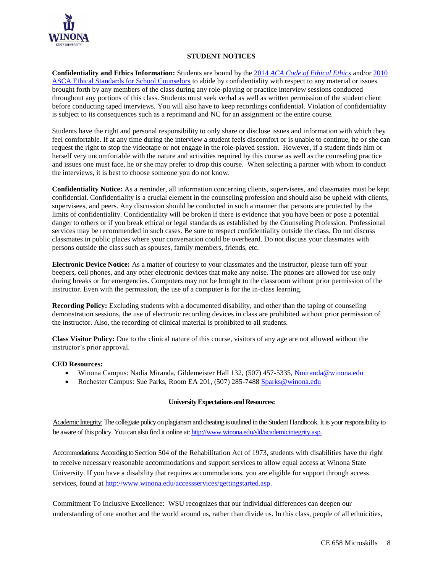

## **STUDENT NOTICES**

**Confidentiality and Ethics Information:** Students are bound by the 2014 *[ACA Code of Ethical Ethics](http://www.counseling.org/Resources/aca-code-of-ethics.pdf)* and/or [2010](http://www.schoolcounselor.org/asca/media/asca/Resource%20Center/Legal%20and%20Ethical%20Issues/Sample%20Documents/EthicalStandards2010.pdf)  [ASCA Ethical Standards for School Counselors](http://www.schoolcounselor.org/asca/media/asca/Resource%20Center/Legal%20and%20Ethical%20Issues/Sample%20Documents/EthicalStandards2010.pdf) to abide by confidentiality with respect to any material or issues brought forth by any members of the class during any role-playing or practice interview sessions conducted throughout any portions of this class. Students must seek verbal as well as written permission of the student client before conducting taped interviews. You will also have to keep recordings confidential. Violation of confidentiality is subject to its consequences such as a reprimand and NC for an assignment or the entire course.

Students have the right and personal responsibility to only share or disclose issues and information with which they feel comfortable. If at any time during the interview a student feels discomfort or is unable to continue, he or she can request the right to stop the videotape or not engage in the role-played session. However, if a student finds him or herself very uncomfortable with the nature and activities required by this course as well as the counseling practice and issues one must face, he or she may prefer to drop this course. When selecting a partner with whom to conduct the interviews, it is best to choose someone you do not know.

**Confidentiality Notice:** As a reminder, all information concerning clients, supervisees, and classmates must be kept confidential. Confidentiality is a crucial element in the counseling profession and should also be upheld with clients, supervisees, and peers. Any discussion should be conducted in such a manner that persons are protected by the limits of confidentiality. Confidentiality will be broken if there is evidence that you have been or pose a potential danger to others or if you break ethical or legal standards as established by the Counseling Profession. Professional services may be recommended in such cases. Be sure to respect confidentiality outside the class. Do not discuss classmates in public places where your conversation could be overheard. Do not discuss your classmates with persons outside the class such as spouses, family members, friends, etc.

**Electronic Device Notice:** As a matter of courtesy to your classmates and the instructor, please turn off your beepers, cell phones, and any other electronic devices that make any noise. The phones are allowed for use only during breaks or for emergencies. Computers may not be brought to the classroom without prior permission of the instructor. Even with the permission, the use of a computer is for the in-class learning.

**Recording Policy:** Excluding students with a documented disability, and other than the taping of counseling demonstration sessions, the use of electronic recording devices in class are prohibited without prior permission of the instructor. Also, the recording of clinical material is prohibited to all students.

**Class Visitor Policy:** Due to the clinical nature of this course, visitors of any age are not allowed without the instructor's prior approval.

## **CED Resources:**

- Winona Campus: Nadia Miranda, Gildemeister Hall 132, (507) 457-5335, [Nmiranda@winona.edu](mailto:Nmiranda@winona.edu)
- Rochester Campus: Sue Parks, Room EA 201, (507) 285-7488 [Sparks@winona.edu](mailto:Sparks@winona.edu)

#### **University Expectations and Resources:**

Academic Integrity: The collegiate policy on plagiarism and cheating is outlined in the Student Handbook. It is your responsibility to be aware of this policy. You can also find it online at[: http://www.winona.edu/sld/academicintegrity.asp.](http://www.winona.edu/sld/academicintegrity.asp)

Accommodations: According to Section 504 of the Rehabilitation Act of 1973, students with disabilities have the right to receive necessary reasonable accommodations and support services to allow equal access at Winona State University. If you have a disability that requires accommodations, you are eligible for support through access services, found a[t http://www.winona.edu/accessservices/gettingstarted.asp.](http://www.winona.edu/accessservices/gettingstarted.asp)

Commitment To Inclusive Excellence: WSU recognizes that our individual differences can deepen our understanding of one another and the world around us, rather than divide us. In this class, people of all ethnicities,